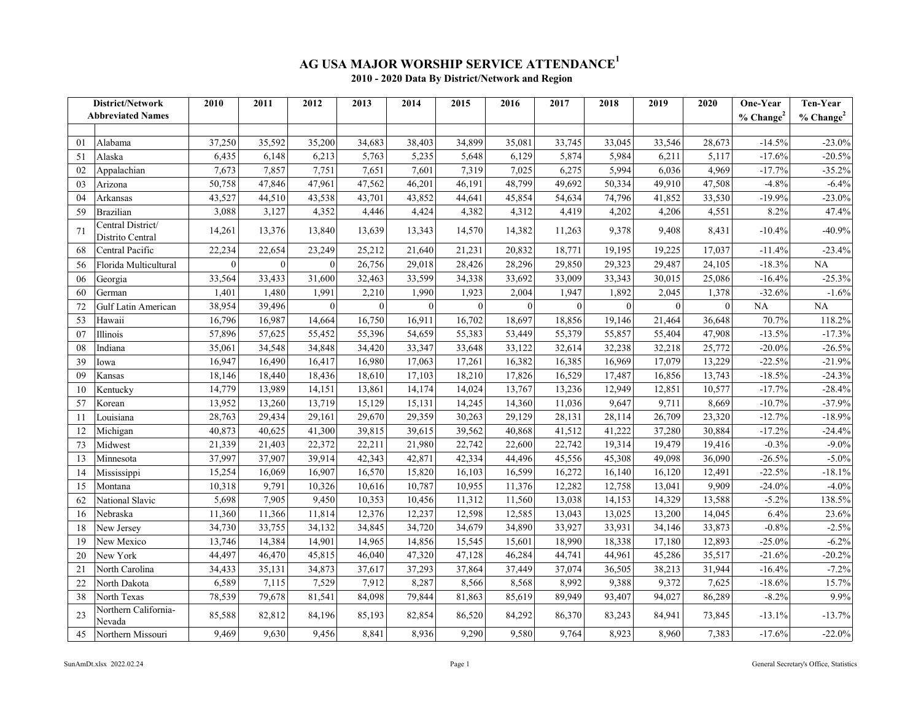## **AG USA MAJOR WORSHIP SERVICE ATTENDANCE<sup>1</sup> 2010 - 2020 Data By District/Network and Region**

|    | District/Network                      | 2010           | 2011             | 2012             | 2013         | 2014             | 2015         | 2016         | 2017         | 2018         | 2019         | 2020         | One-Year                    | Ten-Year        |
|----|---------------------------------------|----------------|------------------|------------------|--------------|------------------|--------------|--------------|--------------|--------------|--------------|--------------|-----------------------------|-----------------|
|    | <b>Abbreviated Names</b>              |                |                  |                  |              |                  |              |              |              |              |              |              | % <b>Change<sup>2</sup></b> | $%$ Change $^2$ |
|    |                                       |                |                  |                  |              |                  |              |              |              |              |              |              |                             |                 |
| 01 | Alabama                               | 37,250         | 35,592           | 35,200           | 34,683       | 38,403           | 34,899       | 35,081       | 33,745       | 33,045       | 33,546       | 28,673       | $-14.5%$                    | $-23.0\%$       |
| 51 | Alaska                                | 6,435          | 6,148            | 6,213            | 5,763        | 5,235            | 5,648        | 6,129        | 5,874        | 5,984        | 6,211        | 5,117        | $-17.6%$                    | $-20.5%$        |
| 02 | Appalachian                           | 7,673          | 7,857            | 7,751            | 7,651        | 7,601            | 7,319        | 7,025        | 6,275        | 5,994        | 6,036        | 4,969        | $-17.7%$                    | $-35.2%$        |
| 03 | Arizona                               | 50,758         | 47,846           | 47,961           | 47,562       | 46,201           | 46,191       | 48,799       | 49,692       | 50,334       | 49,910       | 47,508       | $-4.8%$                     | $-6.4%$         |
| 04 | Arkansas                              | 43,527         | 44,510           | 43,538           | 43,701       | 43,852           | 44,641       | 45,854       | 54,634       | 74,796       | 41,852       | 33,530       | $-19.9%$                    | $-23.0\%$       |
| 59 | <b>Brazilian</b>                      | 3,088          | 3,127            | 4,352            | 4,446        | 4,424            | 4,382        | 4,312        | 4,419        | 4,202        | 4,206        | 4,551        | 8.2%                        | 47.4%           |
| 71 | Central District/<br>Distrito Central | 14,261         | 13,376           | 13,840           | 13,639       | 13,343           | 14,570       | 14,382       | 11,263       | 9,378        | 9,408        | 8,431        | $-10.4%$                    | $-40.9%$        |
| 68 | Central Pacific                       | 22,234         | 22,654           | 23,249           | 25,212       | 21,640           | 21,231       | 20,832       | 18,771       | 19,195       | 19,225       | 17,037       | $-11.4%$                    | $-23.4%$        |
| 56 | Florida Multicultural                 | $\overline{0}$ | $\boldsymbol{0}$ | $\mathbf{0}$     | 26,756       | 29,018           | 28,426       | 28,296       | 29,850       | 29,323       | 29,487       | 24,105       | $-18.3%$                    | $\rm NA$        |
| 06 | Georgia                               | 33,564         | 33,433           | 31,600           | 32,463       | 33,599           | 34,338       | 33,692       | 33,009       | 33,343       | 30,015       | 25,086       | $-16.4%$                    | $-25.3%$        |
| 60 | German                                | 1,401          | 1,480            | 1,991            | 2,210        | 1,990            | 1,923        | 2,004        | 1,947        | 1,892        | 2,045        | 1,378        | $-32.6%$                    | $-1.6%$         |
| 72 | Gulf Latin American                   | 38,954         | 39,496           | $\boldsymbol{0}$ | $\mathbf{0}$ | $\boldsymbol{0}$ | $\mathbf{0}$ | $\mathbf{0}$ | $\mathbf{0}$ | $\mathbf{0}$ | $\mathbf{0}$ | $\mathbf{0}$ | $\rm NA$                    | NA              |
| 53 | Hawaii                                | 16,796         | 16,987           | 14,664           | 16,750       | 16,911           | 16,702       | 18,697       | 18,856       | 19,146       | 21,464       | 36,648       | 70.7%                       | 118.2%          |
| 07 | Illinois                              | 57,896         | 57,625           | 55,452           | 55,396       | 54,659           | 55,383       | 53,449       | 55,379       | 55,857       | 55,404       | 47,908       | $-13.5%$                    | $-17.3%$        |
| 08 | Indiana                               | 35,061         | 34,548           | 34,848           | 34,420       | 33,347           | 33,648       | 33,122       | 32,614       | 32,238       | 32,218       | 25,772       | $-20.0\%$                   | $-26.5%$        |
| 39 | Iowa                                  | 16,947         | 16,490           | 16,417           | 16,980       | 17,063           | 17,261       | 16,382       | 16,385       | 16,969       | 17,079       | 13,229       | $-22.5%$                    | $-21.9%$        |
| 09 | Kansas                                | 18,146         | 18,440           | 18,436           | 18,610       | 17,103           | 18,210       | 17,826       | 16,529       | 17,487       | 16,856       | 13,743       | $-18.5%$                    | $-24.3%$        |
| 10 | Kentucky                              | 14,779         | 13,989           | 14,151           | 13,861       | 14,174           | 14,024       | 13,767       | 13,236       | 12,949       | 12,851       | 10,577       | $-17.7%$                    | $-28.4%$        |
| 57 | Korean                                | 13,952         | 13,260           | 13,719           | 15,129       | 15,131           | 14,245       | 14,360       | 11,036       | 9,647        | 9,711        | 8,669        | $-10.7%$                    | $-37.9%$        |
| 11 | Louisiana                             | 28,763         | 29,434           | 29,161           | 29,670       | 29,359           | 30,263       | 29,129       | 28,131       | 28,114       | 26,709       | 23,320       | $-12.7%$                    | $-18.9%$        |
| 12 | Michigan                              | 40,873         | 40,625           | 41,300           | 39,815       | 39,615           | 39,562       | 40,868       | 41,512       | 41,222       | 37,280       | 30,884       | $-17.2%$                    | $-24.4%$        |
| 73 | Midwest                               | 21,339         | 21,403           | 22,372           | 22,211       | 21,980           | 22,742       | 22,600       | 22,742       | 19,314       | 19,479       | 19,416       | $-0.3%$                     | $-9.0\%$        |
| 13 | Minnesota                             | 37,997         | 37,907           | 39,914           | 42,343       | 42,871           | 42,334       | 44,496       | 45,556       | 45,308       | 49,098       | 36,090       | $-26.5%$                    | $-5.0\%$        |
| 14 | Mississippi                           | 15,254         | 16,069           | 16,907           | 16,570       | 15,820           | 16,103       | 16,599       | 16,272       | 16,140       | 16,120       | 12,491       | $-22.5%$                    | $-18.1%$        |
| 15 | Montana                               | 10,318         | 9,791            | 10,326           | 10,616       | 10,787           | 10,955       | 11,376       | 12,282       | 12,758       | 13,041       | 9,909        | $-24.0%$                    | $-4.0%$         |
| 62 | National Slavic                       | 5,698          | 7,905            | 9,450            | 10,353       | 10,456           | 11,312       | 11,560       | 13,038       | 14,153       | 14,329       | 13,588       | $-5.2%$                     | 138.5%          |
| 16 | Nebraska                              | 11,360         | 11,366           | 11,814           | 12,376       | 12,237           | 12,598       | 12,585       | 13,043       | 13,025       | 13,200       | 14,045       | 6.4%                        | 23.6%           |
| 18 | New Jersey                            | 34,730         | 33,755           | 34,132           | 34,845       | 34,720           | 34,679       | 34,890       | 33,927       | 33,931       | 34,146       | 33,873       | $-0.8%$                     | $-2.5%$         |
| 19 | New Mexico                            | 13,746         | 14,384           | 14,901           | 14,965       | 14,856           | 15,545       | 15,601       | 18,990       | 18,338       | 17,180       | 12,893       | $-25.0\%$                   | $-6.2%$         |
| 20 | New York                              | 44,497         | 46,470           | 45,815           | 46,040       | 47,320           | 47,128       | 46,284       | 44,741       | 44,961       | 45,286       | 35,517       | $-21.6%$                    | $-20.2%$        |
| 21 | North Carolina                        | 34,433         | 35,131           | 34,873           | 37,617       | 37,293           | 37,864       | 37,449       | 37,074       | 36,505       | 38,213       | 31,944       | $-16.4%$                    | $-7.2%$         |
| 22 | North Dakota                          | 6,589          | 7,115            | 7,529            | 7,912        | 8,287            | 8,566        | 8,568        | 8,992        | 9,388        | 9,372        | 7,625        | $-18.6%$                    | 15.7%           |
| 38 | North Texas                           | 78,539         | 79,678           | 81,541           | 84,098       | 79,844           | 81,863       | 85,619       | 89,949       | 93,407       | 94,027       | 86,289       | $-8.2\%$                    | 9.9%            |
| 23 | Northern California-<br>Nevada        | 85,588         | 82,812           | 84,196           | 85,193       | 82,854           | 86,520       | 84,292       | 86,370       | 83,243       | 84,941       | 73,845       | $-13.1%$                    | $-13.7%$        |
| 45 | Northern Missouri                     | 9.469          | 9,630            | 9,456            | 8,841        | 8,936            | 9,290        | 9.580        | 9,764        | 8,923        | 8.960        | 7,383        | $-17.6%$                    | $-22.0%$        |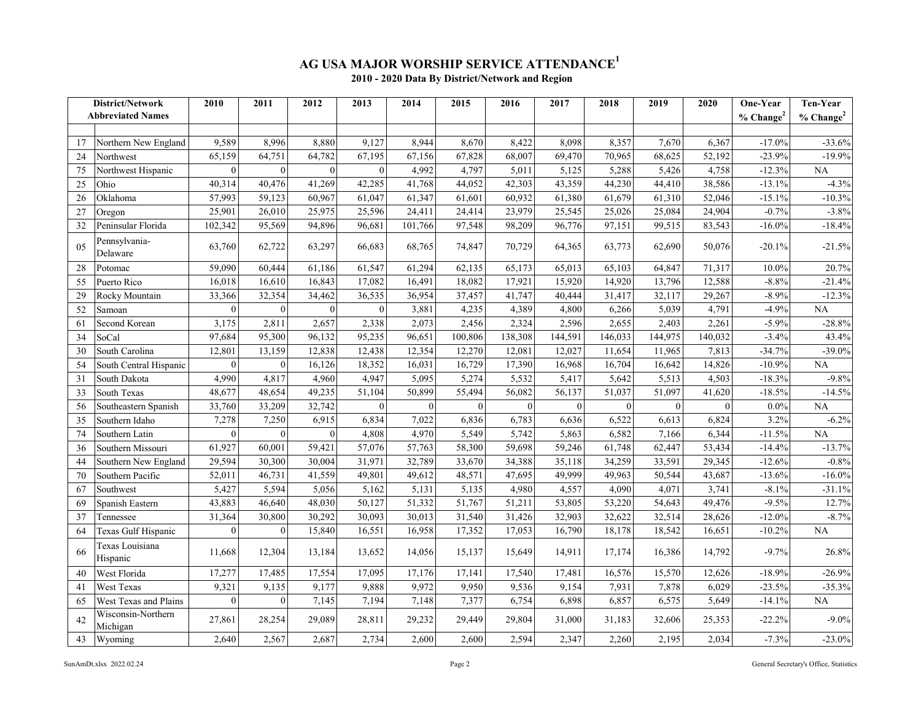## **AG USA MAJOR WORSHIP SERVICE ATTENDANCE<sup>1</sup>**

|  |  | 2010 - 2020 Data By District/Network and Region |  |
|--|--|-------------------------------------------------|--|
|--|--|-------------------------------------------------|--|

| District/Network |                                | 2010     | 2011             | 2012         | 2013         | 2014     | 2015     | 2016     | 2017     | 2018           | 2019         | 2020     | One-Year        | Ten-Year                |
|------------------|--------------------------------|----------|------------------|--------------|--------------|----------|----------|----------|----------|----------------|--------------|----------|-----------------|-------------------------|
|                  | <b>Abbreviated Names</b>       |          |                  |              |              |          |          |          |          |                |              |          | $%$ Change $^2$ | $%$ Change <sup>2</sup> |
|                  |                                |          |                  |              |              |          |          |          |          |                |              |          |                 |                         |
| 17               | Northern New England           | 9,589    | 8,996            | 8,880        | 9,127        | 8,944    | 8,670    | 8,422    | 8,098    | 8,357          | 7,670        | 6,367    | $-17.0%$        | $-33.6%$                |
| 24               | Northwest                      | 65,159   | 64,751           | 64,782       | 67,195       | 67,156   | 67,828   | 68,007   | 69,470   | 70,965         | 68,625       | 52,192   | $-23.9%$        | $-19.9%$                |
| 75               | Northwest Hispanic             | $\theta$ | $\mathbf{0}$     | $\theta$     | $\mathbf{0}$ | 4,992    | 4,797    | 5,011    | 5,125    | 5,288          | 5,426        | 4,758    | $-12.3%$        | <b>NA</b>               |
| 25               | Ohio                           | 40,314   | 40,476           | 41,269       | 42,285       | 41,768   | 44,052   | 42,303   | 43,359   | 44,230         | 44,410       | 38,586   | $-13.1%$        | $-4.3%$                 |
| 26               | Oklahoma                       | 57,993   | 59,123           | 60,967       | 61,047       | 61,347   | 61,601   | 60,932   | 61,380   | 61,679         | 61,310       | 52,046   | $-15.1%$        | $-10.3%$                |
| 27               | Oregon                         | 25,901   | 26,010           | 25,975       | 25,596       | 24,411   | 24,414   | 23,979   | 25,545   | 25,026         | 25,084       | 24,904   | $-0.7%$         | $-3.8%$                 |
| 32               | Peninsular Florida             | 102,342  | 95,569           | 94,896       | 96,681       | 101,766  | 97,548   | 98,209   | 96,776   | 97,151         | 99,515       | 83,543   | $-16.0\%$       | $-18.4%$                |
| 0.5              | Pennsylvania-<br>Delaware      | 63,760   | 62,722           | 63,297       | 66,683       | 68,765   | 74,847   | 70,729   | 64,365   | 63,773         | 62,690       | 50,076   | $-20.1%$        | $-21.5%$                |
| 28               | Potomac                        | 59,090   | 60,444           | 61,186       | 61,547       | 61,294   | 62,135   | 65,173   | 65,013   | 65,103         | 64,847       | 71,317   | 10.0%           | 20.7%                   |
| 55               | Puerto Rico                    | 16,018   | 16,610           | 16,843       | 17,082       | 16,491   | 18,082   | 17,921   | 15,920   | 14,920         | 13,796       | 12,588   | $-8.8%$         | $-21.4%$                |
| 29               | Rocky Mountain                 | 33,366   | 32,354           | 34,462       | 36,535       | 36,954   | 37,457   | 41,747   | 40,444   | 31,417         | 32,117       | 29,267   | $-8.9%$         | $-12.3%$                |
| 52               | Samoan                         | $\Omega$ | $\boldsymbol{0}$ | $\mathbf{0}$ | $\mathbf{0}$ | 3,881    | 4,235    | 4,389    | 4,800    | 6,266          | 5,039        | 4,791    | $-4.9%$         | <b>NA</b>               |
| 61               | Second Korean                  | 3,175    | 2,811            | 2,657        | 2,338        | 2,073    | 2,456    | 2,324    | 2,596    | 2,655          | 2,403        | 2,261    | $-5.9%$         | $-28.8%$                |
| 34               | SoCal                          | 97,684   | 95,300           | 96,132       | 95,235       | 96,651   | 100,806  | 138,308  | 144,591  | 146,033        | 144,975      | 140,032  | $-3.4%$         | 43.4%                   |
| 30               | South Carolina                 | 12,801   | 13,159           | 12,838       | 12,438       | 12,354   | 12,270   | 12,081   | 12,027   | 11,654         | 11,965       | 7,813    | $-34.7%$        | $-39.0%$                |
| 54               | South Central Hispanic         | $\theta$ | $\mathbf{0}$     | 16,126       | 18,352       | 16,031   | 16,729   | 17,390   | 16,968   | 16,704         | 16,642       | 14,826   | $-10.9%$        | <b>NA</b>               |
| 31               | South Dakota                   | 4,990    | 4,817            | 4,960        | 4,947        | 5,095    | 5,274    | 5,532    | 5,417    | 5,642          | 5,513        | 4,503    | $-18.3%$        | $-9.8%$                 |
| 33               | South Texas                    | 48,677   | 48,654           | 49,235       | 51,104       | 50,899   | 55,494   | 56,082   | 56,137   | 51,037         | 51,097       | 41,620   | $-18.5%$        | $-14.5%$                |
| 56               | Southeastern Spanish           | 33,760   | 33,209           | 32,742       | $\theta$     | $\Omega$ | $\theta$ | $\theta$ | $\theta$ | $\overline{0}$ | $\mathbf{0}$ | $\Omega$ | $0.0\%$         | <b>NA</b>               |
| 35               | Southern Idaho                 | 7,278    | 7,250            | 6,915        | 6,834        | 7,022    | 6,836    | 6,783    | 6,636    | 6,522          | 6,613        | 6,824    | 3.2%            | $-6.2\%$                |
| 74               | Southern Latin                 | $\theta$ | $\theta$         | $\theta$     | 4,808        | 4,970    | 5,549    | 5,742    | 5,863    | 6,582          | 7,166        | 6,344    | $-11.5%$        | NA                      |
| 36               | Southern Missouri              | 61,927   | 60,001           | 59,421       | 57,076       | 57,763   | 58,300   | 59,698   | 59,246   | 61,748         | 62,447       | 53,434   | $-14.4%$        | $-13.7%$                |
| 44               | Southern New England           | 29,594   | 30,300           | 30,004       | 31,971       | 32,789   | 33,670   | 34,388   | 35,118   | 34,259         | 33,591       | 29,345   | $-12.6%$        | $-0.8%$                 |
| 70               | Southern Pacific               | 52,011   | 46,731           | 41,559       | 49,801       | 49,612   | 48,571   | 47,695   | 49,999   | 49,963         | 50,544       | 43,687   | $-13.6%$        | $-16.0\%$               |
| 67               | Southwest                      | 5,427    | 5,594            | 5,056        | 5,162        | 5,131    | 5,135    | 4,980    | 4,557    | 4,090          | 4,071        | 3,741    | $-8.1%$         | $-31.1%$                |
| 69               | Spanish Eastern                | 43,883   | 46,640           | 48,030       | 50,127       | 51,332   | 51,767   | 51,211   | 53,805   | 53,220         | 54,643       | 49,476   | $-9.5%$         | 12.7%                   |
| 37               | Tennessee                      | 31,364   | 30,800           | 30,292       | 30,093       | 30,013   | 31,540   | 31,426   | 32,903   | 32,622         | 32,514       | 28,626   | $-12.0%$        | $-8.7\%$                |
| 64               | Texas Gulf Hispanic            | $\Omega$ | $\overline{0}$   | 15,840       | 16,551       | 16,958   | 17,352   | 17,053   | 16,790   | 18,178         | 18,542       | 16,651   | $-10.2\%$       | NA                      |
| 66               | Texas Louisiana<br>Hispanic    | 11,668   | 12,304           | 13,184       | 13,652       | 14,056   | 15,137   | 15,649   | 14,911   | 17,174         | 16,386       | 14,792   | $-9.7%$         | 26.8%                   |
| 40               | West Florida                   | 17,277   | 17,485           | 17,554       | 17,095       | 17,176   | 17,141   | 17,540   | 17,481   | 16,576         | 15,570       | 12,626   | $-18.9%$        | $-26.9%$                |
| 41               | West Texas                     | 9,321    | 9,135            | 9,177        | 9,888        | 9,972    | 9,950    | 9,536    | 9,154    | 7,931          | 7,878        | 6,029    | $-23.5%$        | $-35.3%$                |
| 65               | West Texas and Plains          | $\theta$ | $\mathbf{0}$     | 7,145        | 7,194        | 7,148    | 7,377    | 6,754    | 6,898    | 6,857          | 6,575        | 5,649    | $-14.1%$        | <b>NA</b>               |
| 42               | Wisconsin-Northern<br>Michigan | 27,861   | 28,254           | 29,089       | 28,811       | 29,232   | 29,449   | 29,804   | 31,000   | 31,183         | 32,606       | 25,353   | $-22.2%$        | $-9.0\%$                |
| 43               | Wyoming                        | 2,640    | 2,567            | 2,687        | 2,734        | 2,600    | 2,600    | 2,594    | 2,347    | 2,260          | 2,195        | 2,034    | $-7.3%$         | $-23.0%$                |